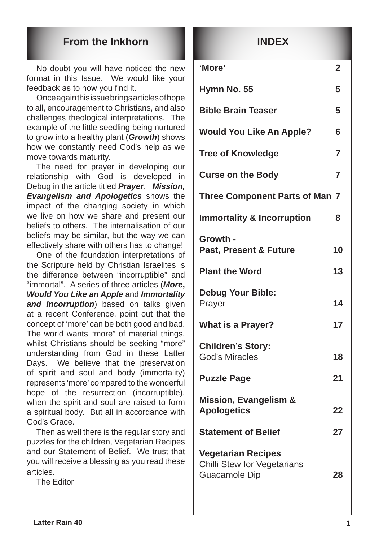### **From the Inkhorn**

No doubt you will have noticed the new format in this Issue. We would like your feedback as to how you find it.

Once again this issue brings articles of hope to all, encouragement to Christians, and also challenges theological interpretations. The example of the little seedling being nurtured to grow into a healthy plant (*Growth*) shows how we constantly need God's help as we move towards maturity.

The need for prayer in developing our relationship with God is developed in Debug in the article titled *Prayer*. *Mission, Evangelism and Apologetics* shows the impact of the changing society in which we live on how we share and present our beliefs to others. The internalisation of our beliefs may be similar, but the way we can effectively share with others has to change!

One of the foundation interpretations of the Scripture held by Christian Israelites is the difference between "incorruptible" and "immortal". A series of three articles (*More***,**  *Would You Like an Apple* and *Immortality and Incorruption*) based on talks given at a recent Conference, point out that the concept of 'more' can be both good and bad. The world wants "more" of material things, whilst Christians should be seeking "more" understanding from God in these Latter Days. We believe that the preservation of spirit and soul and body (immortality) represents 'more' compared to the wonderful hope of the resurrection (incorruptible), when the spirit and soul are raised to form a spiritual body. But all in accordance with God's Grace.

Then as well there is the regular story and puzzles for the children, Vegetarian Recipes and our Statement of Belief. We trust that you will receive a blessing as you read these articles.

The Editor

### **INDEX**

| 'More'                                                                    | $\mathbf 2$    |  |
|---------------------------------------------------------------------------|----------------|--|
| Hymn No. 55                                                               | 5              |  |
| <b>Bible Brain Teaser</b>                                                 | 5              |  |
| <b>Would You Like An Apple?</b>                                           | 6              |  |
| <b>Tree of Knowledge</b>                                                  | $\overline{7}$ |  |
| <b>Curse on the Body</b>                                                  | $\overline{7}$ |  |
| <b>Three Component Parts of Man 7</b>                                     |                |  |
| <b>Immortality &amp; Incorruption</b>                                     | 8              |  |
| Growth -<br><b>Past, Present &amp; Future</b>                             | 10             |  |
| <b>Plant the Word</b>                                                     | 13             |  |
| <b>Debug Your Bible:</b><br>Prayer                                        | 14             |  |
| <b>What is a Prayer?</b>                                                  | 17             |  |
| <b>Children's Story:</b><br><b>God's Miracles</b>                         | 18             |  |
| <b>Puzzle Page</b>                                                        | 21             |  |
| <b>Mission, Evangelism &amp;</b><br><b>Apologetics</b>                    | 22             |  |
| <b>Statement of Belief</b>                                                | 27             |  |
| <b>Vegetarian Recipes</b><br>Chilli Stew for Vegetarians<br>Guacamole Dip | 28             |  |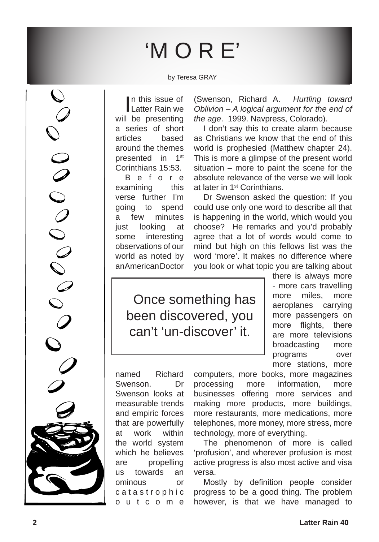# 'M O R E'

by Teresa GRAY

In this issue of<br>Latter Rain we In this issue of will be presenting a series of short articles based around the themes presented in 1<sup>st</sup> Corinthians 15:53.

B e f o r e examining this verse further I'm going to spend a few minutes just looking at some interesting observations of our world as noted by an American Doctor (Swenson, Richard A. *Hurtling toward Oblivion – A logical argument for the end of the age*. 1999. Navpress, Colorado).

I don't say this to create alarm because as Christians we know that the end of this world is prophesied (Matthew chapter 24). This is more a glimpse of the present world situation – more to paint the scene for the absolute relevance of the verse we will look at later in 1st Corinthians.

Dr Swenson asked the question: If you could use only one word to describe all that is happening in the world, which would you choose? He remarks and you'd probably agree that a lot of words would come to mind but high on this fellows list was the word 'more'. It makes no difference where you look or what topic you are talking about

Once something has been discovered, you can't 'un-discover' it.

there is always more - more cars travelling more miles, more aeroplanes carrying more passengers on more flights, there are more televisions broadcasting more programs over more stations, more

named Richard Swenson. Dr Swenson looks at measurable trends and empiric forces that are powerfully at work within the world system which he believes are propelling us towards an ominous or c a t a s t r o p h i c o u t c o m e

computers, more books, more magazines processing more information, more businesses offering more services and making more products, more buildings, more restaurants, more medications, more telephones, more money, more stress, more technology, more of everything.

The phenomenon of more is called 'profusion', and wherever profusion is most active progress is also most active and visa versa.

Mostly by definition people consider progress to be a good thing. The problem however, is that we have managed to

OCOOOOOOOOO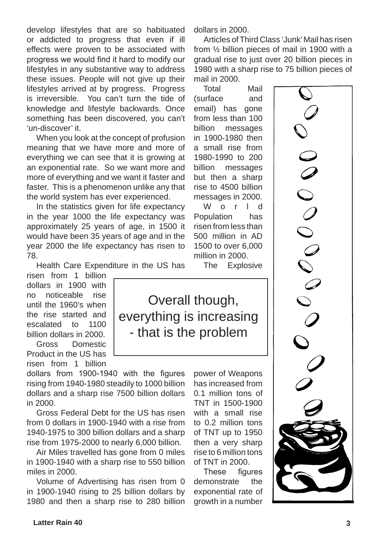develop lifestyles that are so habituated or addicted to progress that even if ill effects were proven to be associated with progress we would find it hard to modify our lifestyles in any substantive way to address these issues. People will not give up their lifestyles arrived at by progress. Progress is irreversible. You can't turn the tide of knowledge and lifestyle backwards. Once something has been discovered, you can't 'un-discover' it.

When you look at the concept of profusion meaning that we have more and more of everything we can see that it is growing at an exponential rate. So we want more and more of everything and we want it faster and faster. This is a phenomenon unlike any that the world system has ever experienced.

In the statistics given for life expectancy in the year 1000 the life expectancy was approximately 25 years of age, in 1500 it would have been 35 years of age and in the year 2000 the life expectancy has risen to 78.

Health Care Expenditure in the US has

risen from 1 billion dollars in 1900 with no noticeable rise until the 1960's when the rise started and escalated to 1100 billion dollars in 2000.

Gross Domestic Product in the US has risen from 1 billion

dollars from 1900-1940 with the figures rising from 1940-1980 steadily to 1000 billion dollars and a sharp rise 7500 billion dollars in 2000.

Gross Federal Debt for the US has risen from 0 dollars in 1900-1940 with a rise from 1940-1975 to 300 billion dollars and a sharp rise from 1975-2000 to nearly 6,000 billion.

Air Miles travelled has gone from 0 miles in 1900-1940 with a sharp rise to 550 billion miles in 2000.

Volume of Advertising has risen from 0 in 1900-1940 rising to 25 billion dollars by 1980 and then a sharp rise to 280 billion dollars in 2000.

Articles of Third Class 'Junk' Mail has risen from ½ billion pieces of mail in 1900 with a gradual rise to just over 20 billion pieces in 1980 with a sharp rise to 75 billion pieces of mail in 2000.

Total Mail (surface and email) has gone from less than 100 billion messages in 1900-1980 then a small rise from 1980-1990 to 200 billion messages but then a sharp rise to 4500 billion messages in 2000.

W o r I d Population has risen from less than 500 million in AD 1500 to over 6,000 million in 2000.

The Explosive

Overall though,

everything is increasing

- that is the problem

power of Weapons has increased from 0.1 million tons of TNT in 1500-1900 with a small rise to 0.2 million tons of TNT up to 1950 then a very sharp rise to 6 million tons of TNT in 2000.

These figures demonstrate the exponential rate of growth in a number

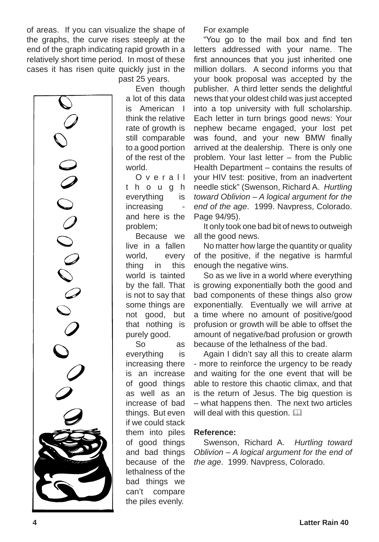of areas. If you can visualize the shape of the graphs, the curve rises steeply at the end of the graph indicating rapid growth in a relatively short time period. In most of these cases it has risen quite quickly just in the

past 25 years.

Even though a lot of this data is American I think the relative rate of growth is still comparable to a good portion of the rest of the world.

O v e r a l l t h o u g h everything is increasing and here is the problem;

Because we live in a fallen world, every thing in this world is tainted by the fall. That is not to say that some things are not good, but that nothing is purely good.

So as everything is increasing there is an increase of good things as well as an increase of bad things. But even if we could stack them into piles of good things and bad things because of the lethalness of the bad things we can't compare the piles evenly.

For example

"You go to the mail box and find ten letters addressed with your name. The first announces that you just inherited one million dollars. A second informs you that your book proposal was accepted by the publisher. A third letter sends the delightful news that your oldest child was just accepted into a top university with full scholarship. Each letter in turn brings good news: Your nephew became engaged, your lost pet was found, and your new BMW finally arrived at the dealership. There is only one problem. Your last letter – from the Public Health Department – contains the results of your HIV test: positive, from an inadvertent needle stick" (Swenson, Richard A. *Hurtling toward Oblivion – A logical argument for the end of the age*. 1999. Navpress, Colorado. Page 94/95).

It only took one bad bit of news to outweigh all the good news.

No matter how large the quantity or quality of the positive, if the negative is harmful enough the negative wins.

So as we live in a world where everything is growing exponentially both the good and bad components of these things also grow exponentially. Eventually we will arrive at a time where no amount of positive/good profusion or growth will be able to offset the amount of negative/bad profusion or growth because of the lethalness of the bad.

Again I didn't say all this to create alarm - more to reinforce the urgency to be ready and waiting for the one event that will be able to restore this chaotic climax, and that is the return of Jesus. The big question is – what happens then. The next two articles will deal with this question.  $\square$ 

#### **Reference:**

Swenson, Richard A. *Hurtling toward Oblivion – A logical argument for the end of the age*. 1999. Navpress, Colorado.

00000000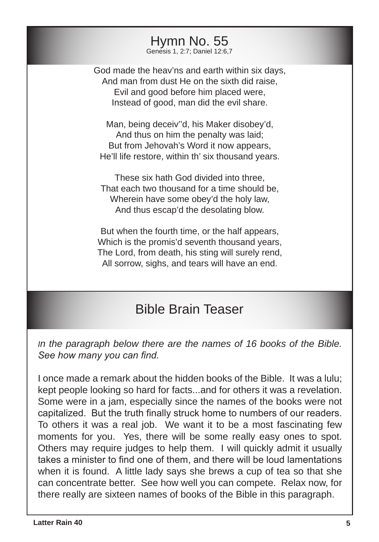Hymn No. 55 Genesis 1, 2:7; Daniel 12:6,7

God made the heav'ns and earth within six days, And man from dust He on the sixth did raise, Evil and good before him placed were, Instead of good, man did the evil share.

Man, being deceiv''d, his Maker disobey'd, And thus on him the penalty was laid; But from Jehovah's Word it now appears, He'll life restore, within th' six thousand years.

These six hath God divided into three, That each two thousand for a time should be, Wherein have some obey'd the holy law, And thus escap'd the desolating blow.

But when the fourth time, or the half appears, Which is the promis'd seventh thousand years, The Lord, from death, his sting will surely rend, All sorrow, sighs, and tears will have an end.

### Bible Brain Teaser

*In the paragraph below there are the names of 16 books of the Bible. See how many you can find.*

I once made a remark about the hidden books of the Bible. It was a lulu; kept people looking so hard for facts...and for others it was a revelation. Some were in a jam, especially since the names of the books were not capitalized. But the truth finally struck home to numbers of our readers. To others it was a real job. We want it to be a most fascinating few moments for you. Yes, there will be some really easy ones to spot. Others may require judges to help them. I will quickly admit it usually takes a minister to find one of them, and there will be loud lamentations when it is found. A little lady says she brews a cup of tea so that she can concentrate better. See how well you can compete. Relax now, for there really are sixteen names of books of the Bible in this paragraph.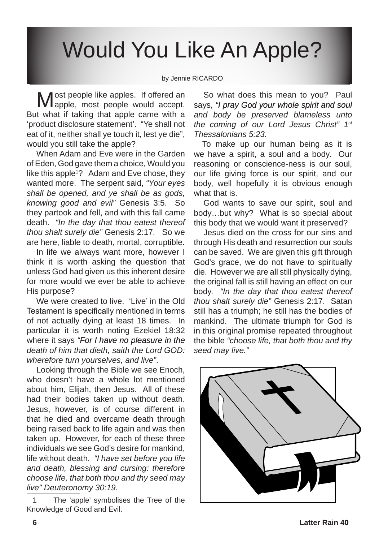# Would You Like An Apple?

#### by Jennie RICARDO

Most people like apples. If offered an apple, most people would accept. But what if taking that apple came with a 'product disclosure statement'. "Ye shall not eat of it, neither shall ye touch it, lest ye die", would you still take the apple?

When Adam and Eve were in the Garden of Eden, God gave them a choice, Would you like this apple<sup>1</sup>? Adam and Eve chose, they wanted more. The serpent said, *"Your eyes shall be opened, and ye shall be as gods, knowing good and evil"* Genesis 3:5. So they partook and fell, and with this fall came death. *"In the day that thou eatest thereof thou shalt surely die"* Genesis 2:17. So we are here, liable to death, mortal, corruptible.

In life we always want more, however I think it is worth asking the question that unless God had given us this inherent desire for more would we ever be able to achieve His purpose?

We were created to live. 'Live' in the Old Testament is specifically mentioned in terms of not actually dying at least 18 times. In particular it is worth noting Ezekiel 18:32 where it says *"�For I have no pleasure in the death of him that dieth, saith the Lord GOD: wherefore turn yourselves, and live"*.

Looking through the Bible we see Enoch, who doesn't have a whole lot mentioned about him, Elijah, then Jesus. All of these had their bodies taken up without death. Jesus, however, is of course different in that he died and overcame death through being raised back to life again and was then taken up. However, for each of these three individuals we see God's desire for mankind, life without death. *"I have set before you life and death, blessing and cursing: therefore choose life, that both thou and thy seed may live" Deuteronomy 30:19.*

So what does this mean to you? Paul says, *"I pray God your whole spirit and soul and body be preserved blameless unto the coming of our Lord Jesus Christ" 1st Thessalonians 5:23.*

To make up our human being as it is we have a spirit, a soul and a body. Our reasoning or conscience-ness is our soul, our life giving force is our spirit, and our body, well hopefully it is obvious enough what that is.

God wants to save our spirit, soul and body…but why? What is so special about this body that we would want it preserved?

Jesus died on the cross for our sins and through His death and resurrection our souls can be saved. We are given this gift through God's grace, we do not have to spiritually die. However we are all still physically dying, the original fall is still having an effect on our body. *"In the day that thou eatest thereof thou shalt surely die"* Genesis 2:17. Satan still has a triumph; he still has the bodies of mankind. The ultimate triumph for God is in this original promise repeated throughout the bible *"choose life, that both thou and thy seed may live."*



The 'apple' symbolises the Tree of the Knowledge of Good and Evil.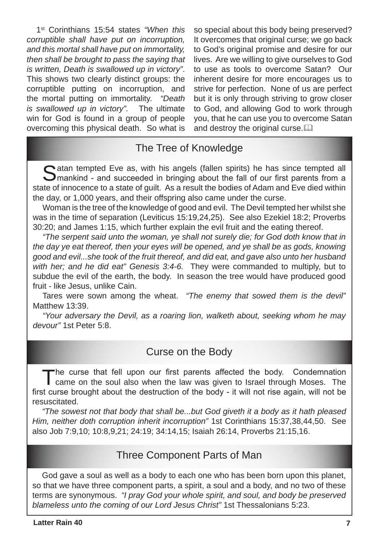1st Corinthians 15:54 states *"When this corruptible shall have put on incorruption, and this mortal shall have put on immortality, then shall be brought to pass the saying that is written, Death is swallowed up in victory"*. This shows two clearly distinct groups: the corruptible putting on incorruption, and the mortal putting on immortality. *"Death is swallowed up in victory".* The ultimate win for God is found in a group of people overcoming this physical death. So what is

so special about this body being preserved? It overcomes that original curse; we go back to God's original promise and desire for our lives. Are we willing to give ourselves to God to use as tools to overcome Satan? Our inherent desire for more encourages us to strive for perfection. None of us are perfect but it is only through striving to grow closer to God, and allowing God to work through you, that he can use you to overcome Satan and destroy the original curse. $\square$ 

### The Tree of Knowledge

Satan tempted Eve as, with his angels (fallen spirits) he has since tempted all mankind - and succeeded in bringing about the fall of our first parents from a state of innocence to a state of guilt. As a result the bodies of Adam and Eve died within the day, or 1,000 years, and their offspring also came under the curse.

Woman is the tree of the knowledge of good and evil. The Devil tempted her whilst she was in the time of separation (Leviticus 15:19,24,25). See also Ezekiel 18:2; Proverbs 30:20; and James 1:15, which further explain the evil fruit and the eating thereof.

*"The serpent said unto the woman, ye shall not surely die; for God doth know that in the day ye eat thereof, then your eyes will be opened, and ye shall be as gods, knowing good and evil...she took of the fruit thereof, and did eat, and gave also unto her husband with her; and he did eat" Genesis 3:4-6.* They were commanded to multiply, but to subdue the evil of the earth, the body. In season the tree would have produced good fruit - like Jesus, unlike Cain.

Tares were sown among the wheat. *"The enemy that sowed them is the devil"* Matthew 13:39.

*"Your adversary the Devil, as a roaring lion, walketh about, seeking whom he may devour"* 1st Peter 5:8.

### Curse on the Body

The curse that fell upon our first parents affected the body. Condemnation came on the soul also when the law was given to Israel through Moses. The first curse brought about the destruction of the body - it will not rise again, will not be resuscitated.

*"The sowest not that body that shall be...but God giveth it a body as it hath pleased Him, neither doth corruption inherit incorruption"* 1st Corinthians 15:37,38,44,50. See also Job 7:9,10; 10:8,9,21; 24:19; 34:14,15; Isaiah 26:14, Proverbs 21:15,16.

### Three Component Parts of Man

God gave a soul as well as a body to each one who has been born upon this planet, so that we have three component parts, a spirit, a soul and a body, and no two of these terms are synonymous. *"I pray God your whole spirit, and soul, and body be preserved blameless unto the coming of our Lord Jesus Christ"* 1st Thessalonians 5:23.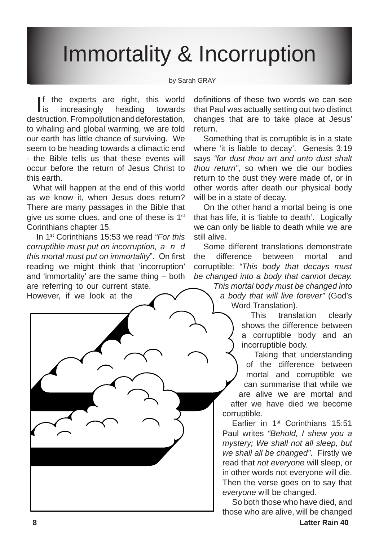# Immortality & Incorruption

#### by Sarah GRAY

If the experts are right, this world<br>is increasingly heading towards **i**s increasingly heading towards destruction. From pollution and deforestation, to whaling and global warming, we are told our earth has little chance of surviving. We seem to be heading towards a climactic end - the Bible tells us that these events will occur before the return of Jesus Christ to this earth.

What will happen at the end of this world as we know it, when Jesus does return? There are many passages in the Bible that give us some clues, and one of these is 1<sup>st</sup> Corinthians chapter 15.

In 1st Corinthians 15:53 we read *"For this corruptible must put on incorruption, a n d this mortal must put on immortality*". On first reading we might think that 'incorruption' and 'immortality' are the same thing – both are referring to our current state.

However, if we look at the

definitions of these two words we can see that Paul was actually setting out two distinct changes that are to take place at Jesus' return.

Something that is corruptible is in a state where 'it is liable to decay'. Genesis 3:19 says *"for dust thou art and unto dust shalt thou return"*, so when we die our bodies return to the dust they were made of, or in other words after death our physical body will be in a state of decay.

On the other hand a mortal being is one that has life, it is 'liable to death'. Logically we can only be liable to death while we are still alive.

Some different translations demonstrate the difference between mortal and corruptible: *"This body that decays must be changed into a body that cannot decay.* 

> *This mortal body must be changed into a body that will live forever"* (God's Word Translation).

> > This translation clearly shows the difference between a corruptible body and an incorruptible body.

Taking that understanding of the difference between mortal and corruptible we can summarise that while we are alive we are mortal and after we have died we become corruptible.

Earlier in 1st Corinthians 15:51 Paul writes *"Behold, I shew you a mystery; We shall not all sleep, but we shall all be changed"*. Firstly we read that *not everyone* will sleep, or in other words not everyone will die. Then the verse goes on to say that *everyone* will be changed.

So both those who have died, and those who are alive, will be changed

**Latter Rain 40**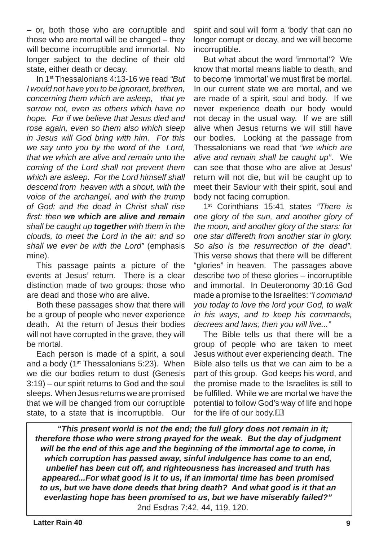– or, both those who are corruptible and those who are mortal will be changed – they will become incorruptible and immortal. No longer subject to the decline of their old state, either death or decay.

In 1st Thessalonians 4:13-16 we read *"But I would not have you to be ignorant, brethren, concerning them which are asleep, that ye sorrow not, even as others which have no hope. For if we believe that Jesus died and rose again, even so them also which sleep in Jesus will God bring with him. For this we say unto you by the word of the Lord, that we which are alive and remain unto the coming of the Lord shall not prevent them which are asleep. For the Lord himself shall descend from heaven with a shout, with the voice of the archangel, and with the trump of God: and the dead in Christ shall rise first: then we which are alive and remain shall be caught up together with them in the clouds, to meet the Lord in the air: and so shall we ever be with the Lord"* (emphasis mine).

This passage paints a picture of the events at Jesus' return. There is a clear distinction made of two groups: those who are dead and those who are alive.

Both these passages show that there will be a group of people who never experience death. At the return of Jesus their bodies will not have corrupted in the grave, they will be mortal.

Each person is made of a spirit, a soul and a body (1<sup>st</sup> Thessalonians 5:23). When we die our bodies return to dust (Genesis 3:19) – our spirit returns to God and the soul sleeps. When Jesus returns we are promised that we will be changed from our corruptible state, to a state that is incorruptible. Our spirit and soul will form a 'body' that can no longer corrupt or decay, and we will become incorruptible.

But what about the word 'immortal'? We know that mortal means liable to death, and to become 'immortal' we must first be mortal. In our current state we are mortal, and we are made of a spirit, soul and body. If we never experience death our body would not decay in the usual way. If we are still alive when Jesus returns we will still have our bodies. Looking at the passage from Thessalonians we read that *"we which are alive and remain shall be caught up"*. We can see that those who are alive at Jesus' return will not die, but will be caught up to meet their Saviour with their spirit, soul and body not facing corruption.

1st Corinthians 15:41 states *"There is one glory of the sun, and another glory of the moon, and another glory of the stars: for one star differeth from another star in glory. So also is the resurrection of the dead"*. This verse shows that there will be different "glories" in heaven. The passages above describe two of these glories – incorruptible and immortal. In Deuteronomy 30:16 God made a promise to the Israelites: *"I command you today to love the lord your God, to walk in his ways, and to keep his commands, decrees and laws; then you will live..."*

The Bible tells us that there will be a group of people who are taken to meet Jesus without ever experiencing death. The Bible also tells us that we can aim to be a part of this group. God keeps his word, and the promise made to the Israelites is still to be fulfilled. While we are mortal we have the potential to follow God's way of life and hope for the life of our body. $\Box$ 

*"This present world is not the end; the full glory does not remain in it; therefore those who were strong prayed for the weak. But the day of judgment will be the end of this age and the beginning of the immortal age to come, in which corruption has passed away, sinful indulgence has come to an end, unbelief has been cut off, and righteousness has increased and truth has appeared...For what good is it to us, if an immortal time has been promised to us, but we have done deeds that bring death? And what good is it that an everlasting hope has been promised to us, but we have miserably failed?"*  2nd Esdras 7:42, 44, 119, 120.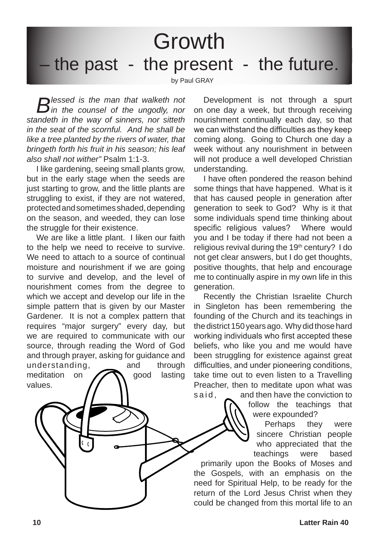**Growth** 

## the past - the present - the future.

by Paul GRAY

*Bessed is the man that walketh not <i>in the counsel of the ungodly, nor standeth in the way of sinners, nor sitteth in the seat of the scornful. And he shall be like a tree planted by the rivers of water, that bringeth forth his fruit in his season; his leaf also shall not wither"* Psalm 1:1-3.

I like gardening, seeing small plants grow, but in the early stage when the seeds are just starting to grow, and the little plants are struggling to exist, if they are not watered, protected and sometimes shaded, depending on the season, and weeded, they can lose the struggle for their existence.

We are like a little plant. I liken our faith to the help we need to receive to survive. We need to attach to a source of continual moisture and nourishment if we are going to survive and develop, and the level of nourishment comes from the degree to which we accept and develop our life in the simple pattern that is given by our Master Gardener. It is not a complex pattern that requires "major surgery" every day, but we are required to communicate with our source, through reading the Word of God and through prayer, asking for guidance and

understanding, and through meditation on **Good** lasting values.

Development is not through a spurt on one day a week, but through receiving nourishment continually each day, so that we can withstand the difficulties as they keep coming along. Going to Church one day a week without any nourishment in between will not produce a well developed Christian understanding.

I have often pondered the reason behind some things that have happened. What is it that has caused people in generation after generation to seek to God? Why is it that some individuals spend time thinking about specific religious values? Where would you and I be today if there had not been a religious revival during the  $19<sup>th</sup>$  century? I do not get clear answers, but I do get thoughts, positive thoughts, that help and encourage me to continually aspire in my own life in this generation.

Recently the Christian Israelite Church in Singleton has been remembering the founding of the Church and its teachings in the district 150 years ago. Why did those hard working individuals who first accepted these beliefs, who like you and me would have been struggling for existence against great difficulties, and under pioneering conditions, take time out to even listen to a Travelling Preacher, then to meditate upon what was s a i d, said, sand then have the conviction to

follow the teachings that were expounded?

Perhaps they were sincere Christian people who appreciated that the teachings were based

primarily upon the Books of Moses and the Gospels, with an emphasis on the need for Spiritual Help, to be ready for the return of the Lord Jesus Christ when they could be changed from this mortal life to an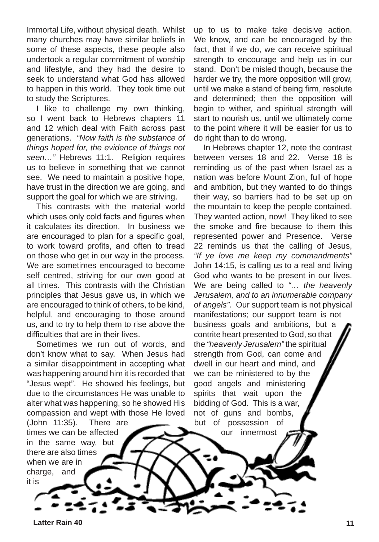Immortal Life, without physical death. Whilst many churches may have similar beliefs in some of these aspects, these people also undertook a regular commitment of worship and lifestyle, and they had the desire to seek to understand what God has allowed to happen in this world. They took time out to study the Scriptures.

I like to challenge my own thinking, so I went back to Hebrews chapters 11 and 12 which deal with Faith across past generations. *"Now faith is the substance of things hoped for, the evidence of things not seen…"* Hebrews 11:1. Religion requires us to believe in something that we cannot see. We need to maintain a positive hope, have trust in the direction we are going, and support the goal for which we are striving.

This contrasts with the material world which uses only cold facts and figures when it calculates its direction. In business we are encouraged to plan for a specific goal, to work toward profits, and often to tread on those who get in our way in the process. We are sometimes encouraged to become self centred, striving for our own good at all times. This contrasts with the Christian principles that Jesus gave us, in which we are encouraged to think of others, to be kind, helpful, and encouraging to those around us, and to try to help them to rise above the difficulties that are in their lives.

Sometimes we run out of words, and don't know what to say. When Jesus had a similar disappointment in accepting what was happening around him it is recorded that "Jesus wept". He showed his feelings, but due to the circumstances He was unable to alter what was happening, so he showed His compassion and wept with those He loved (John 11:35). There are

up to us to make take decisive action. We know, and can be encouraged by the fact, that if we do, we can receive spiritual strength to encourage and help us in our stand. Don't be misled though, because the harder we try, the more opposition will grow, until we make a stand of being firm, resolute and determined; then the opposition will begin to wither, and spiritual strength will start to nourish us, until we ultimately come to the point where it will be easier for us to do right than to do wrong.

In Hebrews chapter 12, note the contrast between verses 18 and 22. Verse 18 is reminding us of the past when Israel as a nation was before Mount Zion, full of hope and ambition, but they wanted to do things their way, so barriers had to be set up on the mountain to keep the people contained. They wanted action, now! They liked to see the smoke and fire because to them this represented power and Presence. Verse 22 reminds us that the calling of Jesus, *"If ye love me keep my commandments"* John 14:15, is calling us to a real and living God who wants to be present in our lives. We are being called to *"… the heavenly Jerusalem, and to an innumerable company of angels".* Our support team is not physical manifestations; our support team is not business goals and ambitions, but a contrite heart presented to God, so that the *"heavenly Jerusalem"* the spiritual strength from God, can come and dwell in our heart and mind, and we can be ministered to by the good angels and ministering spirits that wait upon the bidding of God. This is a war, not of guns and bombs, but of possession of

our innermost

**Latter Rain 40 11**

it is

times we can be affected in the same way, but there are also times when we are in charge, and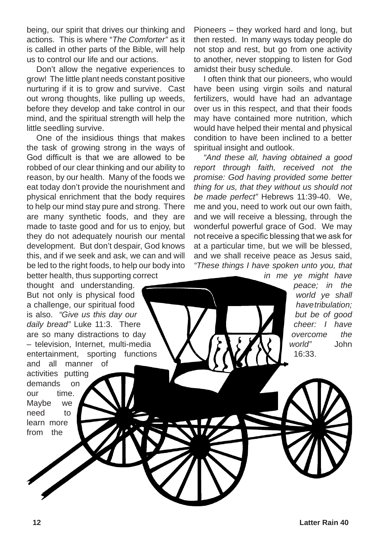being, our spirit that drives our thinking and actions. This is where "*The Comforter"* as it is called in other parts of the Bible, will help us to control our life and our actions.

Don't allow the negative experiences to grow! The little plant needs constant positive nurturing if it is to grow and survive. Cast out wrong thoughts, like pulling up weeds, before they develop and take control in our mind, and the spiritual strength will help the little seedling survive.

One of the insidious things that makes the task of growing strong in the ways of God difficult is that we are allowed to be robbed of our clear thinking and our ability to reason, by our health. Many of the foods we eat today don't provide the nourishment and physical enrichment that the body requires to help our mind stay pure and strong. There are many synthetic foods, and they are made to taste good and for us to enjoy, but they do not adequately nourish our mental development. But don't despair, God knows this, and if we seek and ask, we can and will be led to the right foods, to help our body into better health, thus supporting correct

thought and understanding. But not only is physical food a challenge, our spiritual food is also. *"Give us this day our daily bread"* Luke 11:3. There are so many distractions to day – television, Internet, multi-media entertainment, sporting functions and all manner of activities putting demands on our time. Maybe we

need to learn more from the

Pioneers – they worked hard and long, but then rested. In many ways today people do not stop and rest, but go from one activity to another, never stopping to listen for God amidst their busy schedule.

I often think that our pioneers, who would have been using virgin soils and natural fertilizers, would have had an advantage over us in this respect, and that their foods may have contained more nutrition, which would have helped their mental and physical condition to have been inclined to a better spiritual insight and outlook.

*"And these all, having obtained a good report through faith, received not the promise: God having provided some better thing for us, that they without us should not be made perfect"* Hebrews 11:39-40. We, me and you, need to work out our own faith, and we will receive a blessing, through the wonderful powerful grace of God. We may not receive a specific blessing that we ask for at a particular time, but we will be blessed, and we shall receive peace as Jesus said, *"These things I have spoken unto you, that* 

> *in me ye might have peace; in the world ye shall have tribulation; but be of good cheer: I have overcome the world"* John 16:33.

**12 Latter Rain 40**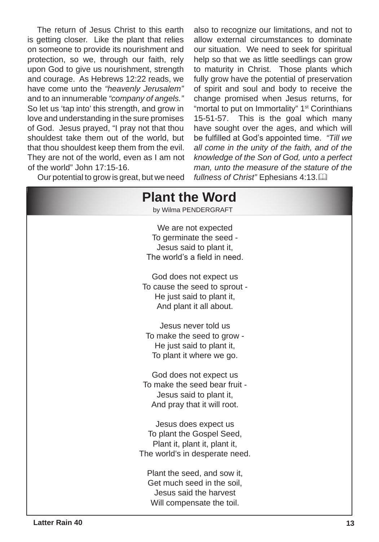The return of Jesus Christ to this earth is getting closer. Like the plant that relies on someone to provide its nourishment and protection, so we, through our faith, rely upon God to give us nourishment, strength and courage. As Hebrews 12:22 reads, we have come unto the *"heavenly Jerusalem"* and to an innumerable *"company of angels."* So let us 'tap into' this strength, and grow in love and understanding in the sure promises of God. Jesus prayed, "I pray not that thou shouldest take them out of the world, but that thou shouldest keep them from the evil. They are not of the world, even as I am not of the world" John 17:15-16.

also to recognize our limitations, and not to allow external circumstances to dominate our situation. We need to seek for spiritual help so that we as little seedlings can grow to maturity in Christ. Those plants which fully grow have the potential of preservation of spirit and soul and body to receive the change promised when Jesus returns, for "mortal to put on Immortality" 1<sup>st</sup> Corinthians 15-51-57. This is the goal which many have sought over the ages, and which will be fulfilled at God's appointed time. *"Till we all come in the unity of the faith, and of the knowledge of the Son of God, unto a perfect man, unto the measure of the stature of the fullness of Christ"* Ephesians 4:13.&

Our potential to grow is great, but we need

| <b>Plant the Word</b><br>by Wilma PENDERGRAFT                                                                        |
|----------------------------------------------------------------------------------------------------------------------|
| We are not expected<br>To germinate the seed -<br>Jesus said to plant it,<br>The world's a field in need.            |
| God does not expect us<br>To cause the seed to sprout -<br>He just said to plant it,<br>And plant it all about.      |
| Jesus never told us<br>To make the seed to grow -<br>He just said to plant it,<br>To plant it where we go.           |
| God does not expect us<br>To make the seed bear fruit -<br>Jesus said to plant it,<br>And pray that it will root.    |
| Jesus does expect us<br>To plant the Gospel Seed,<br>Plant it, plant it, plant it,<br>The world's in desperate need. |
| Plant the seed, and sow it,<br>Get much seed in the soil,<br>Jesus said the harvest<br>Will compensate the toil.     |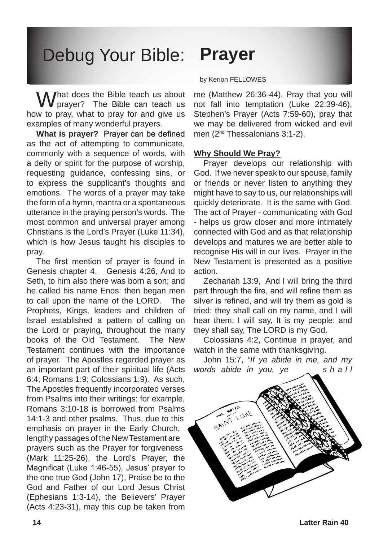# Debug Your Bible: **Prayer**

What does the Bible teach us about  $\sqrt{\frac{1}{1}}$  praver? The Bible can teach us how to pray, what to pray for and give us examples of many wonderful prayers.

**What is prayer?** Prayer can be defined as the act of attempting to communicate, commonly with a sequence of words, with a deity or spirit for the purpose of worship, requesting guidance, confessing sins, or to express the supplicant's thoughts and emotions. The words of a prayer may take the form of a hymn, mantra or a spontaneous utterance in the praying person's words. The most common and universal prayer among Christians is the Lord's Prayer (Luke 11:34), which is how Jesus taught his disciples to pray.

The first mention of prayer is found in Genesis chapter 4. Genesis 4:26, And to Seth, to him also there was born a son; and he called his name Enos: then began men to call upon the name of the LORD. The Prophets, Kings, leaders and children of Israel established a pattern of calling on the Lord or praying, throughout the many books of the Old Testament. The New Testament continues with the importance of prayer. The Apostles regarded prayer as an important part of their spiritual life (Acts 6:4; Romans 1:9; Colossians 1:9). As such, The Apostles frequently incorporated verses from Psalms into their writings: for example, Romans 3:10-18 is borrowed from Psalms 14:1-3 and other psalms. Thus, due to this emphasis on prayer in the Early Church, lengthy passages of the New Testament are prayers such as the Prayer for forgiveness (Mark 11:25-26), the Lord's Prayer, the Magnificat (Luke 1:46-55), Jesus' prayer to the one true God (John 17), Praise be to the God and Father of our Lord Jesus Christ (Ephesians 1:3-14), the Believers' Prayer (Acts 4:23-31), may this cup be taken from

#### by Kerion FELLOWES

me (Matthew 26:36-44), Pray that you will not fall into temptation (Luke 22:39-46), Stephen's Prayer (Acts 7:59-60), pray that we may be delivered from wicked and evil men (2nd Thessalonians 3:1-2).

#### **Why Should We Pray?**

Prayer develops our relationship with God. If we never speak to our spouse, family or friends or never listen to anything they might have to say to us, our relationships will quickly deteriorate. It is the same with God. The act of Prayer - communicating with God - helps us grow closer and more intimately connected with God and as that relationship develops and matures we are better able to recognise His will in our lives. Prayer in the New Testament is presented as a positive action.

Zechariah 13:9, And I will bring the third part through the fire, and will refine them as silver is refined, and will try them as gold is tried: they shall call on my name, and I will hear them: I will say, It is my people: and they shall say, The LORD is my God.

Colossians 4:2, Continue in prayer, and watch in the same with thanksgiving.

John 15:7, *"If ye abide in me, and my words abide in you, ye s h a l l* 

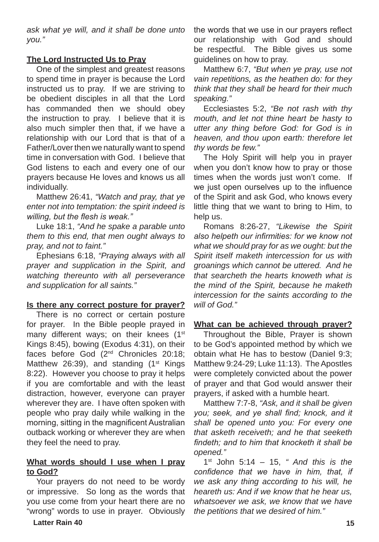*ask what ye will, and it shall be done unto you."* 

#### **The Lord Instructed Us to Pray**

One of the simplest and greatest reasons to spend time in prayer is because the Lord instructed us to pray. If we are striving to be obedient disciples in all that the Lord has commanded then we should obey the instruction to pray. I believe that it is also much simpler then that, if we have a relationship with our Lord that is that of a Father/Lover then we naturally want to spend time in conversation with God. I believe that God listens to each and every one of our prayers because He loves and knows us all individually.

Matthew 26:41, *"Watch and pray, that ye enter not into temptation: the spirit indeed is willing, but the flesh is weak."*

Luke 18:1, *"And he spake a parable unto them to this end, that men ought always to pray, and not to faint."*

Ephesians 6:18, *"Praying always with all prayer and supplication in the Spirit, and watching thereunto with all perseverance and supplication for all saints."* 

#### **Is there any correct posture for prayer?**

There is no correct or certain posture for prayer. In the Bible people prayed in many different ways; on their knees (1<sup>st</sup>) Kings 8:45), bowing (Exodus 4:31), on their faces before God (2nd Chronicles 20:18; Matthew 26:39), and standing  $(1<sup>st</sup>$  Kings 8:22). However you choose to pray it helps if you are comfortable and with the least distraction, however, everyone can prayer wherever they are. I have often spoken with people who pray daily while walking in the morning, sitting in the magnificent Australian outback working or wherever they are when they feel the need to pray.

#### **What words should I use when I pray to God?**

Your prayers do not need to be wordy or impressive. So long as the words that you use come from your heart there are no "wrong" words to use in prayer. Obviously the words that we use in our prayers reflect our relationship with God and should be respectful. The Bible gives us some guidelines on how to pray.

Matthew 6:7, *"But when ye pray, use not vain repetitions, as the heathen do: for they think that they shall be heard for their much speaking."* 

Ecclesiastes 5:2, *"Be not rash with thy mouth, and let not thine heart be hasty to utter any thing before God: for God is in heaven, and thou upon earth: therefore let thy words be few."*

The Holy Spirit will help you in prayer when you don't know how to pray or those times when the words just won't come. If we just open ourselves up to the influence of the Spirit and ask God, who knows every little thing that we want to bring to Him, to help us.

Romans 8:26-27, *"Likewise the Spirit also helpeth our infirmities: for we know not what we should pray for as we ought: but the Spirit itself maketh intercession for us with groanings which cannot be uttered. And he that searcheth the hearts knoweth what is the mind of the Spirit, because he maketh intercession for the saints according to the will of God."*

#### **What can be achieved through prayer?**

Throughout the Bible, Prayer is shown to be God's appointed method by which we obtain what He has to bestow (Daniel 9:3; Matthew 9:24-29; Luke 11:13). The Apostles were completely convicted about the power of prayer and that God would answer their prayers, if asked with a humble heart.

Matthew 7:7-8, *"Ask, and it shall be given you; seek, and ye shall find; knock, and it shall be opened unto you: For every one that asketh receiveth; and he that seeketh findeth; and to him that knocketh it shall be opened."*

1st John 5:14 – 15, *" And this is the confidence that we have in him, that, if we ask any thing according to his will, he heareth us: And if we know that he hear us, whatsoever we ask, we know that we have the petitions that we desired of him."*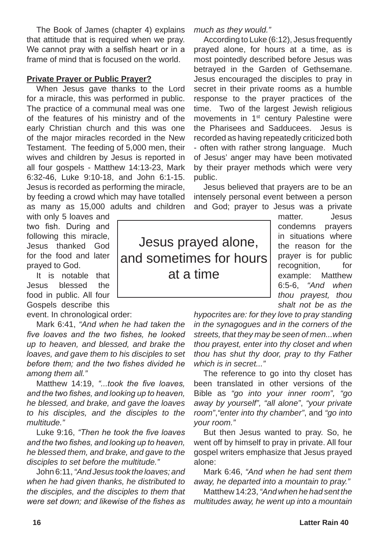The Book of James (chapter 4) explains that attitude that is required when we pray. We cannot pray with a selfish heart or in a frame of mind that is focused on the world.

#### **Private Prayer or Public Prayer?**

When Jesus gave thanks to the Lord for a miracle, this was performed in public. The practice of a communal meal was one of the features of his ministry and of the early Christian church and this was one of the major miracles recorded in the New Testament. The feeding of 5,000 men, their wives and children by Jesus is reported in all four gospels - Matthew 14:13-23, Mark 6:32-46, Luke 9:10-18, and John 6:1-15. Jesus is recorded as performing the miracle, by feeding a crowd which may have totalled as many as 15,000 adults and children

with only 5 loaves and two fish. During and following this miracle, Jesus thanked God for the food and later prayed to God.

It is notable that Jesus blessed the food in public. All four Gospels describe this

event. In chronological order:

Mark 6:41, *"And when he had taken the five loaves and the two fishes, he looked up to heaven, and blessed, and brake the loaves, and gave them to his disciples to set before them; and the two fishes divided he among them all."*

Matthew 14:19, *"...took the five loaves, and the two fishes, and looking up to heaven, he blessed, and brake, and gave the loaves to his disciples, and the disciples to the multitude."*

Luke 9:16, *"Then he took the five loaves and the two fishes, and looking up to heaven, he blessed them, and brake, and gave to the disciples to set before the multitude."*

John 6:11, *"And Jesus took the loaves; and when he had given thanks, he distributed to the disciples, and the disciples to them that were set down; and likewise of the fishes as* 

*much as they would."*

According to Luke (6:12), Jesus frequently prayed alone, for hours at a time, as is most pointedly described before Jesus was betrayed in the Garden of Gethsemane. Jesus encouraged the disciples to pray in secret in their private rooms as a humble response to the prayer practices of the time. Two of the largest Jewish religious movements in 1st century Palestine were the Pharisees and Sadducees. Jesus is recorded as having repeatedly criticized both - often with rather strong language. Much of Jesus' anger may have been motivated by their prayer methods which were very public.

Jesus believed that prayers are to be an intensely personal event between a person and God; prayer to Jesus was a private

matter. Jesus condemns prayers in situations where the reason for the prayer is for public recognition, for example: Matthew 6:5-6, *"And when thou prayest, thou shalt not be as the* 

*hypocrites are: for they love to pray standing in the synagogues and in the corners of the streets, that they may be seen of men...when thou prayest, enter into thy closet and when thou has shut thy door, pray to thy Father which is in secret..."*

The reference to go into thy closet has been translated in other versions of the Bible as *"go into your inner room", "go away by yourself", "all alone"*, *"your private room"*,*"enter into thy chamber"*, and *"go into your room."*

But then Jesus wanted to pray. So, he went off by himself to pray in private. All four gospel writers emphasize that Jesus prayed alone:

Mark 6:46, *"And when he had sent them away, he departed into a mountain to pray."*

Matthew 14:23, *"And when he had sent the multitudes away, he went up into a mountain* 

Jesus prayed alone, and sometimes for hours at a time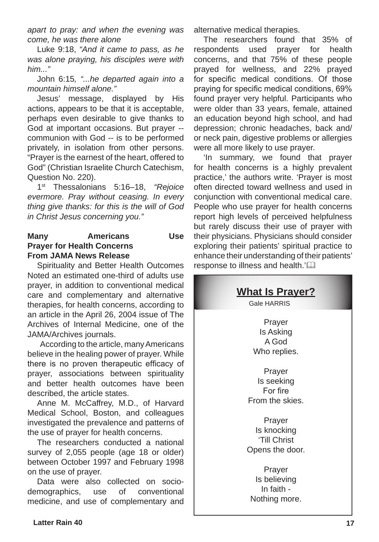*apart to pray: and when the evening was come, he was there alone*

Luke 9:18, *"And it came to pass, as he was alone praying, his disciples were with him..."*

John 6:15*, "...he departed again into a mountain himself alone."*

Jesus' message, displayed by His actions, appears to be that it is acceptable, perhaps even desirable to give thanks to God at important occasions. But prayer - communion with God -- is to be performed privately, in isolation from other persons. "Prayer is the earnest of the heart, offered to God" (Christian Israelite Church Catechism, Question No. 220).

1st Thessalonians 5:16–18, *"Rejoice evermore. Pray without ceasing. In every thing give thanks: for this is the will of God in Christ Jesus concerning you."*

#### **Many Americans Use Prayer for Health Concerns From JAMA News Release**

Spirituality and Better Health Outcomes Noted an estimated one-third of adults use prayer, in addition to conventional medical care and complementary and alternative therapies, for health concerns, according to an article in the April 26, 2004 issue of The Archives of Internal Medicine, one of the JAMA/Archives journals.

According to the article, many Americans believe in the healing power of prayer. While there is no proven therapeutic efficacy of prayer, associations between spirituality and better health outcomes have been described, the article states.

Anne M. McCaffrey, M.D., of Harvard Medical School, Boston, and colleagues investigated the prevalence and patterns of the use of prayer for health concerns.

The researchers conducted a national survey of 2,055 people (age 18 or older) between October 1997 and February 1998 on the use of prayer.

Data were also collected on sociodemographics, use of conventional medicine, and use of complementary and alternative medical therapies.

The researchers found that 35% of respondents used prayer for health concerns, and that 75% of these people prayed for wellness, and 22% prayed for specific medical conditions. Of those praying for specific medical conditions, 69% found prayer very helpful. Participants who were older than 33 years, female, attained an education beyond high school, and had depression; chronic headaches, back and/ or neck pain, digestive problems or allergies were all more likely to use prayer.

'In summary, we found that prayer for health concerns is a highly prevalent practice,' the authors write. 'Prayer is most often directed toward wellness and used in conjunction with conventional medical care. People who use prayer for health concerns report high levels of perceived helpfulness but rarely discuss their use of prayer with their physicians. Physicians should consider exploring their patients' spiritual practice to enhance their understanding of their patients' response to illness and health.'<sup>[1]</sup>

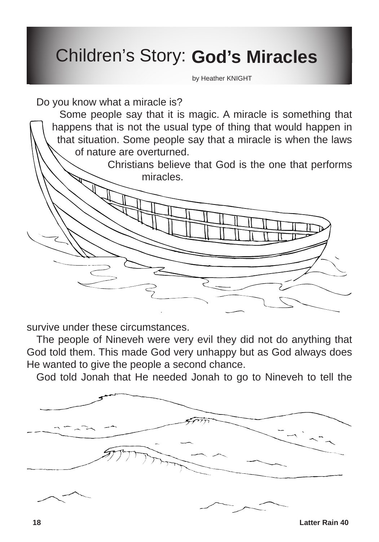# Children's Story: **God's Miracles**

by Heather KNIGHT

Do you know what a miracle is?

 $\diagdown$ 

stories that

Some people say that it is magic. A miracle is something that happens that is not the usual type of thing that would happen in that situation. Some people say that a miracle is when the laws of nature are overturned.

The first one is not always classed as a

 $\sim$  miracle but  $\sim$ say that no one could

Christians believe that God is the one that performs miracles.

survive under these circumstances.

we are looking at this

year are all what we could call miracles.

The people of Nineveh were very evil they did not do anything that God told them. This made God very unhappy but as God always does He wanted to give the people a second chance.

God told Jonah that He needed Jonah to go to Nineveh to tell the



**18 Latter Rain 40**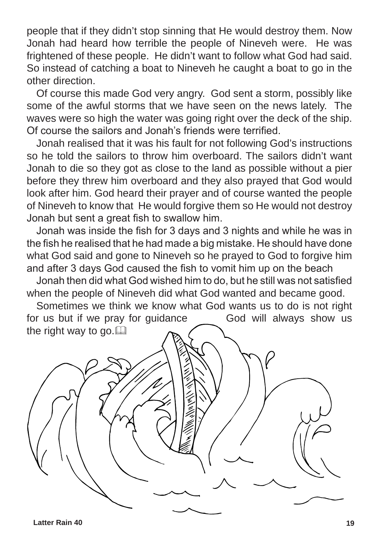people that if they didn't stop sinning that He would destroy them. Now Jonah had heard how terrible the people of Nineveh were. He was frightened of these people. He didn't want to follow what God had said. So instead of catching a boat to Nineveh he caught a boat to go in the other direction.

Of course this made God very angry. God sent a storm, possibly like some of the awful storms that we have seen on the news lately. The waves were so high the water was going right over the deck of the ship. Of course the sailors and Jonah's friends were terrified.

Jonah realised that it was his fault for not following God's instructions so he told the sailors to throw him overboard. The sailors didn't want Jonah to die so they got as close to the land as possible without a pier before they threw him overboard and they also prayed that God would look after him. God heard their prayer and of course wanted the people of Nineveh to know that He would forgive them so He would not destroy Jonah but sent a great fish to swallow him.

Jonah was inside the fish for 3 days and 3 nights and while he was in the fish he realised that he had made a big mistake. He should have done what God said and gone to Nineveh so he prayed to God to forgive him and after 3 days God caused the fish to vomit him up on the beach

Jonah then did what God wished him to do, but he still was not satisfied when the people of Nineveh did what God wanted and became good.

Sometimes we think we know what God wants us to do is not right for us but if we pray for guidance God will always show us the right way to go. $\Box$ 

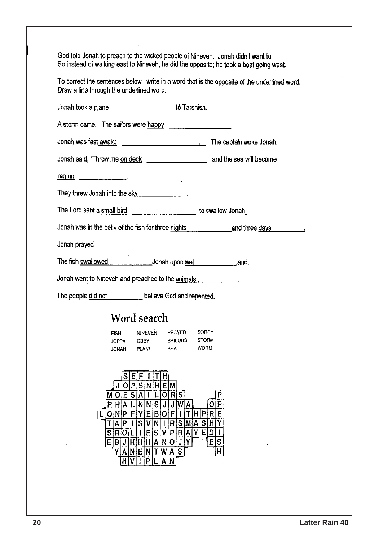God told Jonah to preach to the wicked people of Nineveh. Jonah didn't want to So instead of walking east to Nineveh, he did the opposite; he took a boat going west.

To correct the sentences below, write in a word that is the opposite of the underlined word. Draw a line through the underlined word.

| and the control of the<br>to Tarshish.<br>Jonah took a plane                                                                                                                                                                                                                                                                                                                    |  |  |  |  |
|---------------------------------------------------------------------------------------------------------------------------------------------------------------------------------------------------------------------------------------------------------------------------------------------------------------------------------------------------------------------------------|--|--|--|--|
| A storm came. The sailors were happy                                                                                                                                                                                                                                                                                                                                            |  |  |  |  |
|                                                                                                                                                                                                                                                                                                                                                                                 |  |  |  |  |
|                                                                                                                                                                                                                                                                                                                                                                                 |  |  |  |  |
|                                                                                                                                                                                                                                                                                                                                                                                 |  |  |  |  |
| They threw Jonah into the sky ________________                                                                                                                                                                                                                                                                                                                                  |  |  |  |  |
| The Lord sent a small bird the state of the swallow Jonah.                                                                                                                                                                                                                                                                                                                      |  |  |  |  |
| Jonah was in the belly of the fish for three nights entitled and three days                                                                                                                                                                                                                                                                                                     |  |  |  |  |
| Jonah prayed                                                                                                                                                                                                                                                                                                                                                                    |  |  |  |  |
|                                                                                                                                                                                                                                                                                                                                                                                 |  |  |  |  |
| Jonah went to Nineveh and preached to the animals.                                                                                                                                                                                                                                                                                                                              |  |  |  |  |
| The people did not _______ believe God and repented.                                                                                                                                                                                                                                                                                                                            |  |  |  |  |
| Mord search!                                                                                                                                                                                                                                                                                                                                                                    |  |  |  |  |
| NINEVEH<br>SORRY<br>PRAYED<br><b>FISH</b><br><b>STORM</b><br>SAILORS<br><b>JOPPA</b><br>OBEY<br><b>WORM</b><br><b>SEA</b><br>PLANT<br>JONAH                                                                                                                                                                                                                                     |  |  |  |  |
| E F 1 T H <br>O P S N H E M <br>MOESA<br>T<br> L O R S <br>$N$ $ S $ J $ $<br>IN I<br>J W A <br>R H <br>AIL<br>T H P R <br>O N P <br>F Y <br>E B O F<br>E<br> S V N I<br>R S M A S H Y<br> A P <br>$\mathbf{I}$<br>т<br>P R A Y E D I<br>$\vert \vert$<br>S V <br>S R O L<br>Εļ<br>JHHHHANO<br>E<br>S<br>EBI<br>J<br>Y<br>Y<br>A N E N T W A S<br>Н<br>HV<br>N<br>P<br>A١<br>łL |  |  |  |  |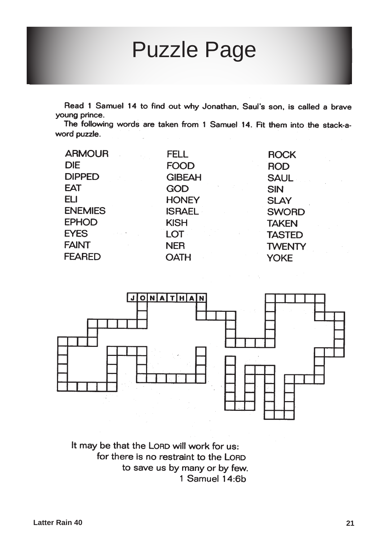# Puzzle Page

Read 1 Samuel 14 to find out why Jonathan, Saul's son, is called a brave young prince.

The following words are taken from 1 Samuel 14. Fit them into the stack-aword puzzle.

| <b>ARMOUR</b>                         | <b>FELL</b>   | <b>ROCK</b>   |
|---------------------------------------|---------------|---------------|
| <b>DIE</b>                            | <b>FOOD</b>   | <b>ROD</b>    |
| <b>DIPPED</b>                         | <b>GIBEAH</b> | <b>SAUL</b>   |
| <b>EAT</b>                            | <b>GOD</b>    | <b>SIN</b>    |
| <b>ELI</b>                            | <b>HONEY</b>  | <b>SLAY</b>   |
| <b>ENEMIES</b>                        | <b>ISRAEL</b> | <b>SWORD</b>  |
| <b>EPHOD</b>                          | <b>KISH</b>   | <b>TAKEN</b>  |
| <b>EYES</b><br>$\mu$ -signal $\sigma$ | <b>LOT</b>    | <b>TASTED</b> |
| <b>FAINT</b>                          | <b>NER</b>    | <b>TWENTY</b> |
| <b>FEARED</b>                         | <b>OATH</b>   | <b>YOKE</b>   |
|                                       |               |               |



It may be that the LORD will work for us: for there is no restraint to the LORD to save us by many or by few. 1 Samuel 14:6b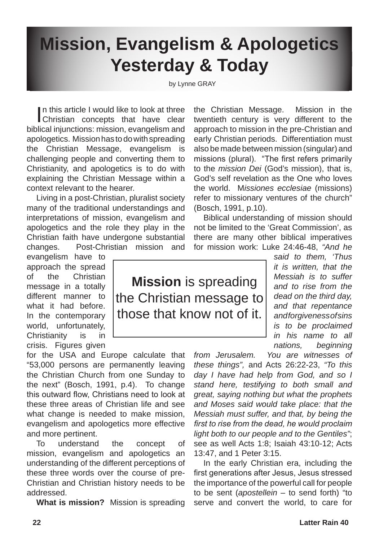# **Mission, Evangelism & Apologetics Yesterday & Today**

by Lynne GRAY

**I uphis article I would like to lady of all yee how maniguitime deep and you Windigthen would depend to the concepts that have clear twentieth century is very different to the** Christian concepts that have clear twentieth century is very different to the biblical injunctions: mission, evangelism and approach to mission in the pre-Christian and early Christian periods. Differentiation must apologetics. Mission has to do with spreading also be made  $b$  divergenthission (singular) and the Christian Message, evangelism missions (plural). The first refers primarily challenging people and  $\alpha$  overting them to Christianity, and apologetics is to do with to the *mission Dei* (God's mission), that is,  $\Delta$ od's self revelation/as the One who loves explaining the Christian Message with  $p$ world. M*issiones ecclesiae* (missions) context relevant to the *hearer* Living in a post-Christian  $f$  missionary ventures of the church" many of the traditional widerstandings and Bosch, 1991, p.10). interpretations of mission Levangelism and Biblical understanding of mission of be limited to the 'Great Commi apologetics and the role they play in the Christian faith have undergone substantial there are many other **biblical** imperatives changes.  $\nabla$  Post-Christian mession and for mission work: Luke 24:46-48, *"And he*  evangelism  $\epsilon$ have н н *said to them, 'Thus*  approach the spread S *it is written, hat the* S S F Н of  $th^2$  Christ *Messiah is to suffer*  **Missidn** Ss<sup>t</sup>sofielding message in a totall *and to rise from the*  different manner *dead on the third day,*  the Chustian message to what it had be fo *and that repentance*  those *and forgiveness of sins*  In the contemporary world, unfortuhat *is to be proclaimed*  н Christianity  $\mathsf{Is}$  in *in* his name to all  $crisis.$  Figures *nations, beginning*  for the USA  $\frac{1}{2}$  Europe calculate that *from Jerusalem. You are witnesses of*  "53,000 persons are permanently leaving *these things",* and Acts 26:22-23, *"To this*  the Christian Church from oneSSunday to day *I have* that help som God, and so I the next" (Bosch,  $1991Sp.4$ ). So changes stan**g** *here, testifying Fto both small and* this outward flow, Christians need to look at *great, saying nothing but what the prophets and Moses said would take place: that the*  these three aldes of Christian life and what change  $\mathbf k$  needed to make mission. *Messiah must suffer, and that, by being the*  evangelism and  $\alpha$  pologetics more effective *first to rise from the dead, he would proclaim light both to our people and to the Gentiles"*; and more pertinent. see as well Acts 1:8; Isaiah 43:10-12; Acts To understand the  $\Gamma$  concept of mission, evaluatism and apologetics an 13:47, and 1 Peter 3:15.

understanding of the different perceptions of these this words over the course of pre-Christian and Christian history needs to be addressed.

**What is mission?** Mission is spreading

early Christian era, including the first generations after Jesus, Jesus stressed the importance of the powerful call for people to be sent (*apostellein* – to send forth) "to serve and convert the world, to care for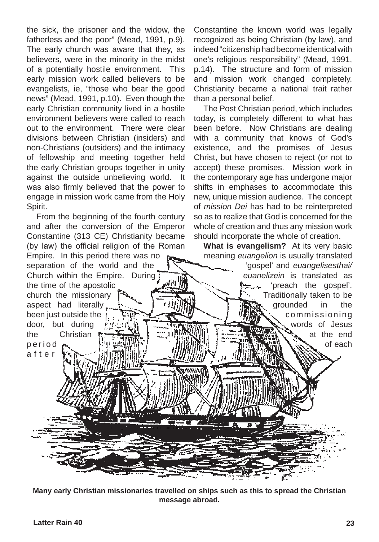the sick, the prisoner and the widow, the fatherless and the poor" (Mead, 1991, p.9). The early church was aware that they, as believers, were in the minority in the midst of a potentially hostile environment. This early mission work called believers to be evangelists, ie, "those who bear the good news" (Mead, 1991, p.10). Even though the early Christian community lived in a hostile environment believers were called to reach out to the environment. There were clear divisions between Christian (insiders) and non-Christians (outsiders) and the intimacy of fellowship and meeting together held the early Christian groups together in unity against the outside unbelieving world. It was also firmly believed that the power to engage in mission work came from the Holy Spirit.

From the beginning of the fourth century and after the conversion of the Emperor Constantine (313 CE) Christianity became (by law) the official religion of the Roman Empire. In this period there was no separation of the world and the Church within the Empire. During the time of the apostolic church the missionary aspect had literally been just outside the door, but during the Christian p e r i o d a f t e r

Constantine the known world was legally recognized as being Christian (by law), and indeed "citizenship had become identical with one's religious responsibility" (Mead, 1991, p.14). The structure and form of mission and mission work changed completely. Christianity became a national trait rather than a personal belief.

The Post Christian period, which includes today, is completely different to what has been before. Now Christians are dealing with a community that knows of God's existence, and the promises of Jesus Christ, but have chosen to reject (or not to accept) these promises. Mission work in the contemporary age has undergone major shifts in emphases to accommodate this new, unique mission audience. The concept of *mission Dei* has had to be reinterpreted so as to realize that God is concerned for the whole of creation and thus any mission work should incorporate the whole of creation.

**What is evangelism?** At its very basic meaning *euangelion* is usually translated

diiil

'gospel' and *euangelisesthai/ euanelizein* is translated as 'preach the gospel'. tore. Traditionally taken to be grounded in the commissioning words of Jesus at the end of each

**Many early Christian missionaries travelled on ships such as this to spread the Christian message abroad.**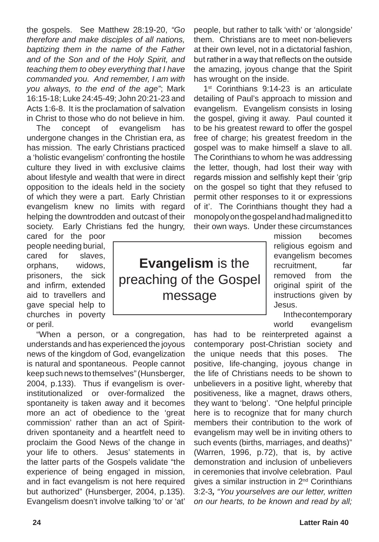the gospels. See Matthew 28:19-20, *"Go therefore and make disciples of all nations, baptizing them in the name of the Father and of the Son and of the Holy Spirit, and teaching them to obey everything that I have commanded you. And remember, I am with you always, to the end of the age"*; Mark 16:15-18; Luke 24:45-49; John 20:21-23 and Acts 1:6-8. It is the proclamation of salvation in Christ to those who do not believe in him.

The concept of evangelism has undergone changes in the Christian era, as has mission. The early Christians practiced a 'holistic evangelism' confronting the hostile culture they lived in with exclusive claims about lifestyle and wealth that were in direct opposition to the ideals held in the society of which they were a part. Early Christian evangelism knew no limits with regard helping the downtrodden and outcast of their society. Early Christians fed the hungry,

cared for the poor people needing burial, cared for slaves, orphans, widows, prisoners, the sick and infirm, extended aid to travellers and gave special help to churches in poverty or peril.

"When a person, or a congregation, understands and has experienced the joyous news of the kingdom of God, evangelization is natural and spontaneous. People cannot keep such news to themselves" (Hunsberger, 2004, p.133). Thus if evangelism is overinstitutionalized or over-formalized the spontaneity is taken away and it becomes more an act of obedience to the 'great commission' rather than an act of Spiritdriven spontaneity and a heartfelt need to proclaim the Good News of the change in your life to others. Jesus' statements in the latter parts of the Gospels validate "the experience of being engaged in mission, and in fact evangelism is not here required but authorized" (Hunsberger, 2004, p.135). Evangelism doesn't involve talking 'to' or 'at'

people, but rather to talk 'with' or 'alongside' them. Christians are to meet non-believers at their own level, not in a dictatorial fashion, but rather in a way that reflects on the outside the amazing, joyous change that the Spirit has wrought on the inside.

1<sup>st</sup> Corinthians 9:14-23 is an articulate detailing of Paul's approach to mission and evangelism. Evangelism consists in losing the gospel, giving it away. Paul counted it to be his greatest reward to offer the gospel free of charge; his greatest freedom in the gospel was to make himself a slave to all. The Corinthians to whom he was addressing the letter, though, had lost their way with regards mission and selfishly kept their 'grip on the gospel so tight that they refused to permit other responses to it or expressions of it'. The Corinthians thought they had a monopoly on the gospel and had maligned it to their own ways. Under these circumstances

**Evangelism** is the preaching of the Gospel message

mission becomes religious egoism and evangelism becomes recruitment. far removed from the original spirit of the instructions given by Jesus.

In the contemporary world evangelism

has had to be reinterpreted against a contemporary post-Christian society and the unique needs that this poses. The positive, life-changing, joyous change in the life of Christians needs to be shown to unbelievers in a positive light, whereby that positiveness, like a magnet, draws others, they want to 'belong'. "One helpful principle here is to recognize that for many church members their contribution to the work of evangelism may well be in inviting others to such events (births, marriages, and deaths)" (Warren, 1996, p.72), that is, by active demonstration and inclusion of unbelievers in ceremonies that involve celebration. Paul gives a similar instruction in 2nd Corinthians 3:2-3*, "You yourselves are our letter, written on our hearts, to be known and read by all;*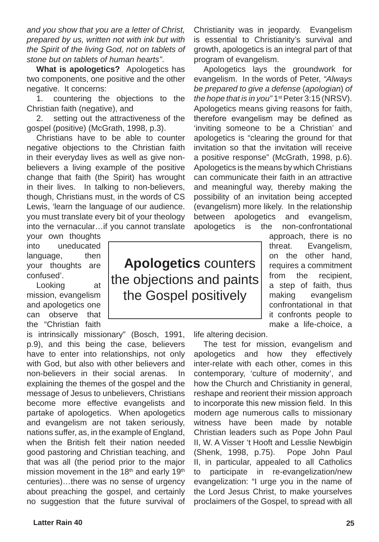*and you show that you are a letter of Christ, prepared by us, written not with ink but with the Spirit of the living God, not on tablets of stone but on tablets of human hearts"*.

**What is apologetics?** Apologetics has two components, one positive and the other negative. It concerns:

1. countering the objections to the Christian faith (negative), and

2. setting out the attractiveness of the gospel (positive) (McGrath, 1998, p.3).

Christians have to be able to counter negative objections to the Christian faith in their everyday lives as well as give nonbelievers a living example of the positive change that faith (the Spirit) has wrought in their lives. In talking to non-believers, though, Christians must, in the words of CS Lewis, 'learn the language of our audience. you must translate every bit of your theology into the vernacular…if you cannot translate

your own thoughts into uneducated language, then your thoughts are confused'.

Looking at mission, evangelism and apologetics one can observe that the "Christian faith

is intrinsically missionary" (Bosch, 1991, p.9), and this being the case, believers have to enter into relationships, not only with God, but also with other believers and non-believers in their social arenas. In explaining the themes of the gospel and the message of Jesus to unbelievers, Christians become more effective evangelists and partake of apologetics. When apologetics and evangelism are not taken seriously, nations suffer, as, in the example of England, when the British felt their nation needed good pastoring and Christian teaching, and that was all (the period prior to the major mission movement in the  $18<sup>th</sup>$  and early  $19<sup>th</sup>$ centuries)…there was no sense of urgency about preaching the gospel, and certainly no suggestion that the future survival of Christianity was in jeopardy. Evangelism is essential to Christianity's survival and growth, apologetics is an integral part of that program of evangelism.

Apologetics lays the groundwork for evangelism. In the words of Peter, *"Always be prepared to give a defense* (*apologian*) *of the hope that is in you"* 1st Peter 3:15 (NRSV). Apologetics means giving reasons for faith, therefore evangelism may be defined as 'inviting someone to be a Christian' and apologetics is "clearing the ground for that invitation so that the invitation will receive a positive response" (McGrath, 1998, p.6). Apologetics is the means by which Christians can communicate their faith in an attractive and meaningful way, thereby making the possibility of an invitation being accepted (evangelism) more likely. In the relationship between apologetics and evangelism, apologetics is the non-confrontational

> approach, there is no threat. Evangelism, on the other hand, requires a commitment from the recipient, a step of faith, thus making evangelism confrontational in that it confronts people to make a life-choice, a

life altering decision.

The test for mission, evangelism and apologetics and how they effectively inter-relate with each other, comes in this contemporary, 'culture of modernity', and how the Church and Christianity in general, reshape and reorient their mission approach to incorporate this new mission field. In this modern age numerous calls to missionary witness have been made by notable Christian leaders such as Pope John Paul II, W. A Visser 't Hooft and Lesslie Newbigin (Shenk, 1998, p.75). Pope John Paul II, in particular, appealed to all Catholics to participate in re-evangelization/new evangelization: "I urge you in the name of the Lord Jesus Christ, to make yourselves proclaimers of the Gospel, to spread with all

**Apologetics** counters the objections and paints the Gospel positively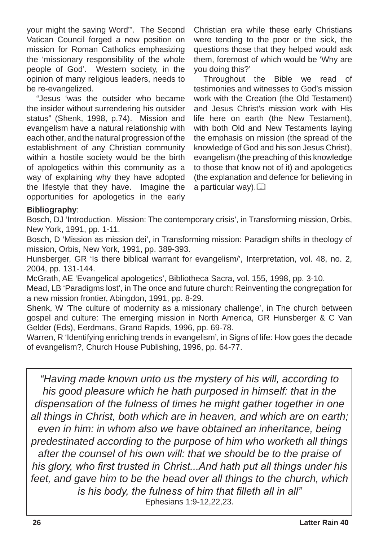your might the saving Word"'. The Second Vatican Council forged a new position on mission for Roman Catholics emphasizing the 'missionary responsibility of the whole people of God'. Western society, in the opinion of many religious leaders, needs to be re-evangelized.

"Jesus 'was the outsider who became the insider without surrendering his outsider status" (Shenk, 1998, p.74). Mission and evangelism have a natural relationship with each other, and the natural progression of the establishment of any Christian community within a hostile society would be the birth of apologetics within this community as a way of explaining why they have adopted the lifestyle that they have. Imagine the opportunities for apologetics in the early Christian era while these early Christians were tending to the poor or the sick, the questions those that they helped would ask them, foremost of which would be 'Why are you doing this?'

Throughout the Bible we read of testimonies and witnesses to God's mission work with the Creation (the Old Testament) and Jesus Christ's mission work with His life here on earth (the New Testament), with both Old and New Testaments laying the emphasis on mission (the spread of the knowledge of God and his son Jesus Christ), evangelism (the preaching of this knowledge to those that know not of it) and apologetics (the explanation and defence for believing in a particular way). $\square$ 

#### **Bibliography**:

Bosch, DJ 'Introduction. Mission: The contemporary crisis', in Transforming mission, Orbis, New York, 1991, pp. 1-11.

Bosch, D 'Mission as mission dei', in Transforming mission: Paradigm shifts in theology of mission, Orbis, New York, 1991, pp. 389-393.

Hunsberger, GR 'Is there biblical warrant for evangelism/', Interpretation, vol. 48, no. 2, 2004, pp. 131-144.

McGrath, AE 'Evangelical apologetics', Bibliotheca Sacra, vol. 155, 1998, pp. 3-10.

Mead, LB 'Paradigms lost', in The once and future church: Reinventing the congregation for a new mission frontier, Abingdon, 1991, pp. 8-29.

Shenk, W 'The culture of modernity as a missionary challenge', in The church between gospel and culture: The emerging mission in North America, GR Hunsberger & C Van Gelder (Eds), Eerdmans, Grand Rapids, 1996, pp. 69-78.

Warren, R 'Identifying enriching trends in evangelism', in Signs of life: How goes the decade of evangelism?, Church House Publishing, 1996, pp. 64-77.

*"Having made known unto us the mystery of his will, according to his good pleasure which he hath purposed in himself: that in the dispensation of the fulness of times he might gather together in one all things in Christ, both which are in heaven, and which are on earth; even in him: in whom also we have obtained an inheritance, being predestinated according to the purpose of him who worketh all things after the counsel of his own will: that we should be to the praise of his glory, who first trusted in Christ...And hath put all things under his feet, and gave him to be the head over all things to the church, which is his body, the fulness of him that filleth all in all"* Ephesians 1:9-12,22,23.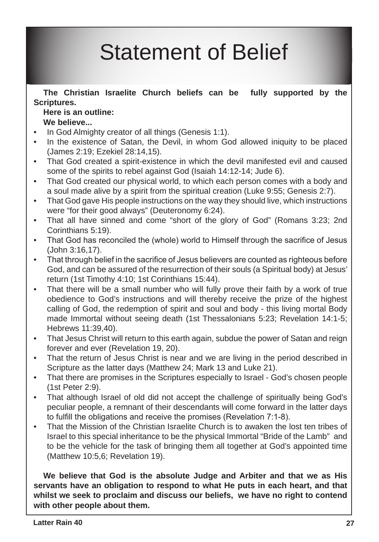# Statement of Belief

**The Christian Israelite Church beliefs can be fully supported by the Scriptures.** 

### **Here is an outline: We believe...**

- In God Almighty creator of all things (Genesis 1:1). •
- In the existence of Satan, the Devil, in whom God allowed iniquity to be placed (James 2:19; Ezekiel 28:14,15). •
- That God created a spirit-existence in which the devil manifested evil and caused some of the spirits to rebel against God (Isaiah 14:12-14; Jude 6). •
- That God created our physical world, to which each person comes with a body and a soul made alive by a spirit from the spiritual creation (Luke 9:55; Genesis 2:7). •
- That God gave His people instructions on the way they should live, which instructions were "for their good always" (Deuteronomy 6:24). •
- That all have sinned and come "short of the glory of God" (Romans 3:23; 2nd Corinthians 5:19). •
- That God has reconciled the (whole) world to Himself through the sacrifice of Jesus (John 3:16,17). •
- That through belief in the sacrifice of Jesus believers are counted as righteous before God, and can be assured of the resurrection of their souls (a Spiritual body) at Jesus' return (1st Timothy 4:10; 1st Corinthians 15:44). •
- That there will be a small number who will fully prove their faith by a work of true obedience to God's instructions and will thereby receive the prize of the highest calling of God, the redemption of spirit and soul and body - this living mortal Body made Immortal without seeing death (1st Thessalonians 5:23; Revelation 14:1-5; Hebrews 11:39,40). •
- That Jesus Christ will return to this earth again, subdue the power of Satan and reign forever and ever (Revelation 19, 20). •
- That the return of Jesus Christ is near and we are living in the period described in Scripture as the latter days (Matthew 24; Mark 13 and Luke 21). •
- That there are promises in the Scriptures especially to Israel God's chosen people (1st Peter 2:9). •
- That although Israel of old did not accept the challenge of spiritually being God's peculiar people, a remnant of their descendants will come forward in the latter days to fulfill the obligations and receive the promises (Revelation 7:1-8). •
- That the Mission of the Christian Israelite Church is to awaken the lost ten tribes of Israel to this special inheritance to be the physical Immortal "Bride of the Lamb" and to be the vehicle for the task of bringing them all together at God's appointed time (Matthew 10:5,6; Revelation 19). •

**We believe that God is the absolute Judge and Arbiter and that we as His servants have an obligation to respond to what He puts in each heart, and that whilst we seek to proclaim and discuss our beliefs, we have no right to contend with other people about them.**